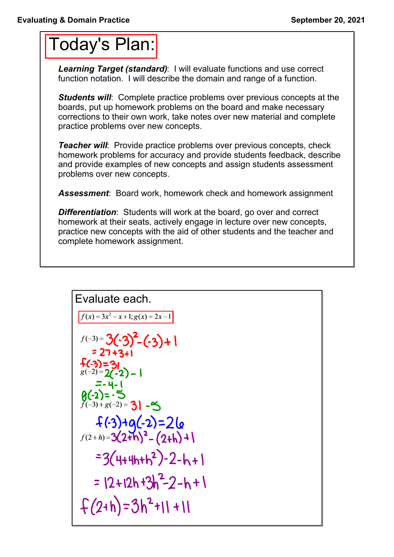## Today's Plan:

*Learning Target (standard)*: I will evaluate functions and use correct function notation. I will describe the domain and range of a function.

**Students will:** Complete practice problems over previous concepts at the boards, put up homework problems on the board and make necessary corrections to their own work, take notes over new material and complete practice problems over new concepts.

*Teacher will:* Provide practice problems over previous concepts, check homework problems for accuracy and provide students feedback, describe and provide examples of new concepts and assign students assessment problems over new concepts.

*Assessment*: Board work, homework check and homework assignment

*Differentiation*: Students will work at the board, go over and correct homework at their seats, actively engage in lecture over new concepts, practice new concepts with the aid of other students and the teacher and complete homework assignment.

Evaluate each.  
\n
$$
\frac{f(x)=3x^2-x+1; g(x)=2x-1}{f(-3)=3(-3)^2-(3)+1}
$$
\n
$$
=27+3+1
$$
\n
$$
f(-3)=3(2-2)-1
$$
\n
$$
=4-1
$$
\n
$$
g(-2)=5
$$
\n
$$
f(-3)+g(-2)=31-5
$$
\n
$$
f(-3)+g(-2)=2(a
$$
\n
$$
f(2+h)=3(2+h)^2-(2+h)+1
$$
\n
$$
=3(4+4h+h^2)-2-h+1
$$
\n
$$
=12+12h+3h^2-2-h+1
$$
\n
$$
f(2+h)=3h^2+1+1
$$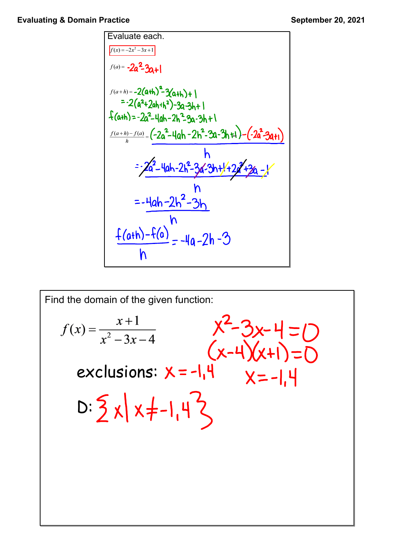Evaluate each.  
\n
$$
\frac{F_{(x)} = -2x^2-3x+1}{f'(x) = -2a^2-3a+1}
$$
\n
$$
f(a+h) = -2(a+h)^2-3a+h+1
$$
\n
$$
= -2(a^2+2a+h+1)^2-3a-3h+1
$$
\n
$$
f(a+h) = -2a^2-4ah-2h^2-3a-3h+1
$$
\n
$$
\frac{f(a+h)-f(a)}{h} = \frac{(-2a^2-4ah-2h^2-3a-3h+1)-(-2a^2-3a+1)}{h}
$$
\n
$$
= -\frac{2a^2-4ah-2h^2-3a-3h+1+2a^2+3a-1}{h}
$$
\n
$$
= -\frac{4ah-2h^2-3h}{h}
$$
\n
$$
\frac{f(a+h)-f(a)}{h} = -4a-2h-3
$$

Find the domain of the given function:  
\n
$$
f(x) = \frac{x+1}{x^2 - 3x - 4}
$$
\n
$$
f(x) = \frac{x+1}{x^2 - 3x - 4}
$$
\n
$$
f(x-4)(x+1) = 0
$$
\n
$$
f(x-4)(x+1) = 0
$$
\n
$$
f(x-4)(x+1) = 0
$$
\n
$$
f(x-4)(x+1) = 0
$$
\n
$$
f(x) = \frac{x+1}{x^2 - 3x - 4}
$$
\n
$$
f(x) = \frac{x+1}{x^2 - 3x - 4}
$$
\n
$$
f(x-4)(x+1) = 0
$$
\n
$$
f(x) = \frac{x+1}{x^2 - 3x - 4}
$$
\n
$$
f(x) = \frac{x+1}{x^2 - 3x - 4}
$$
\n
$$
f(x) = \frac{x+1}{x^2 - 3x - 4}
$$
\n
$$
f(x) = \frac{x+1}{x^2 - 3x - 4}
$$
\n
$$
f(x) = \frac{x+1}{x^2 - 3x - 4}
$$
\n
$$
f(x) = \frac{x+1}{x^2 - 3x - 4}
$$
\n
$$
f(x) = \frac{x+1}{x^2 - 3x - 4}
$$
\n
$$
f(x) = \frac{x+1}{x^2 - 3x - 4}
$$
\n
$$
f(x) = \frac{x+1}{x^2 - 3x - 4}
$$
\n
$$
f(x) = \frac{x+1}{x^2 - 3x - 4}
$$
\n
$$
f(x) = \frac{x+1}{x^2 - 3x - 4}
$$
\n
$$
f(x) = \frac{x+1}{x^2 - 3x - 4}
$$
\n
$$
f(x) = \frac{x+1}{x^2 - 3x - 4}
$$
\n
$$
f(x) = \frac{x+1}{x^2 - 3x - 4}
$$
\n
$$
f(x) = \frac{x+1}{x^2 - 3x - 4}
$$
\n
$$
f(x) = \frac{x+1}{x^2 - 3x - 4}
$$
\n
$$
f(x) = \frac{x+1}{x^2 - 3x - 4}
$$
\n
$$
f(x) = \frac{x+
$$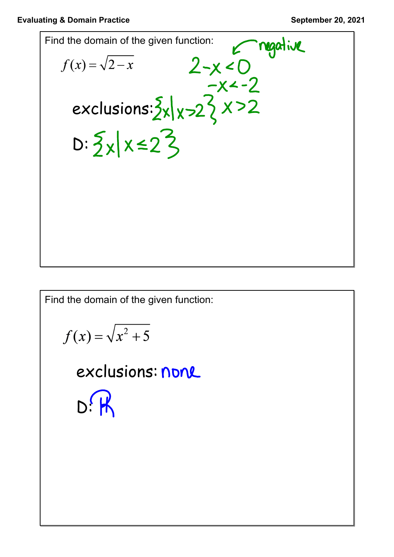

Find the domain of the given function:

$$
f(x) = \sqrt{x^2 + 5}
$$

exclusions: none  $D:$   $\boldsymbol{\mathsf{K}}$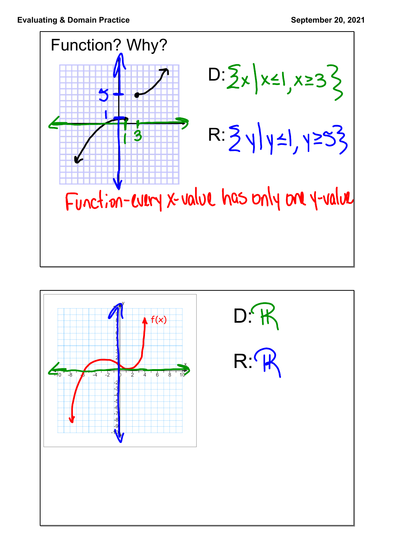